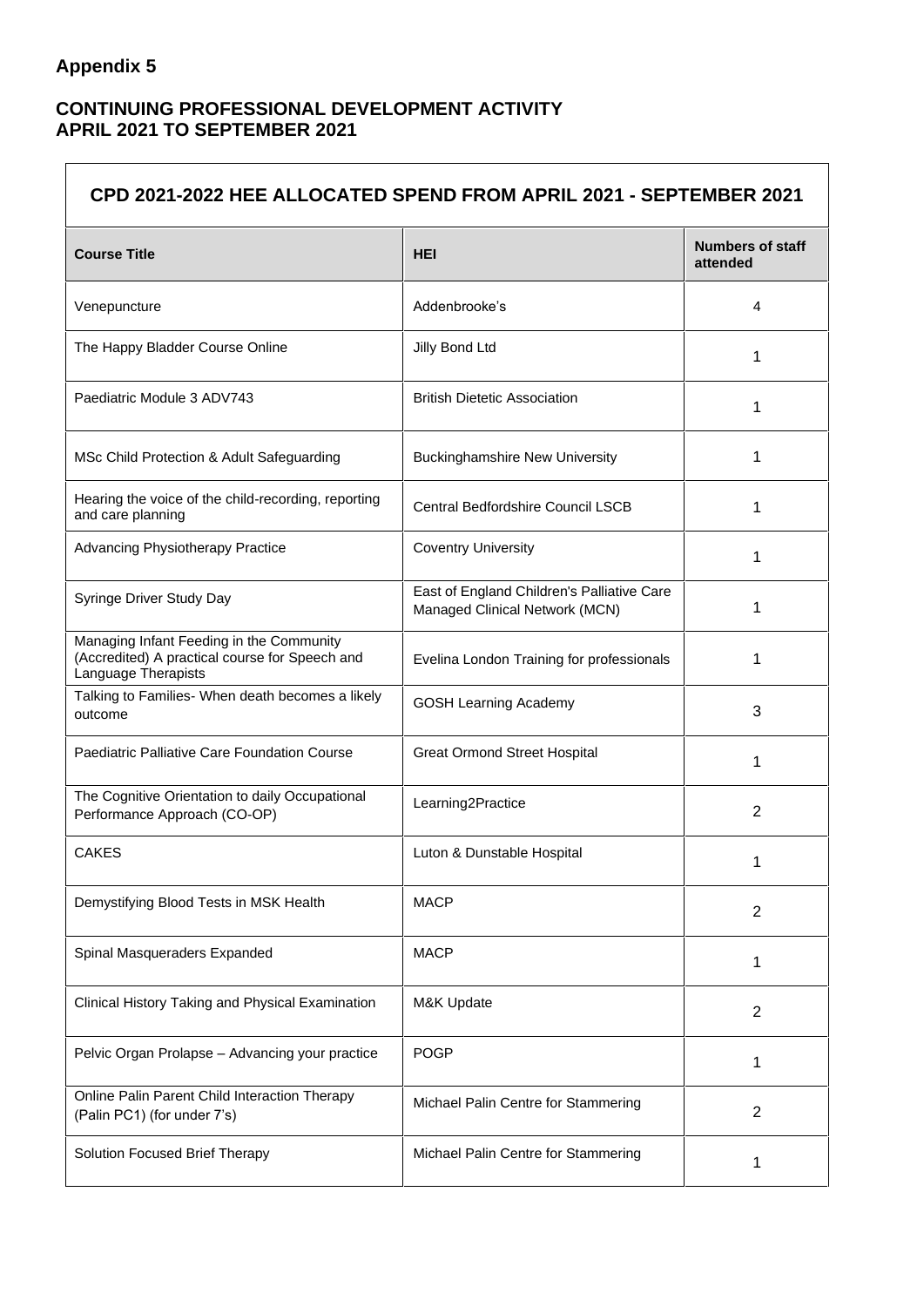## **Appendix 5**

 $\Gamma$ 

## **CONTINUING PROFESSIONAL DEVELOPMENT ACTIVITY APRIL 2021 TO SEPTEMBER 2021**

| CPD 2021-2022 HEE ALLOCATED SPEND FROM APRIL 2021 - SEPTEMBER 2021                                                |                                                                              |                                     |  |
|-------------------------------------------------------------------------------------------------------------------|------------------------------------------------------------------------------|-------------------------------------|--|
| <b>Course Title</b>                                                                                               | HEI                                                                          | <b>Numbers of staff</b><br>attended |  |
| Venepuncture                                                                                                      | Addenbrooke's                                                                | 4                                   |  |
| The Happy Bladder Course Online                                                                                   | Jilly Bond Ltd                                                               | 1                                   |  |
| Paediatric Module 3 ADV743                                                                                        | <b>British Dietetic Association</b>                                          | 1                                   |  |
| MSc Child Protection & Adult Safeguarding                                                                         | <b>Buckinghamshire New University</b>                                        | 1                                   |  |
| Hearing the voice of the child-recording, reporting<br>and care planning                                          | <b>Central Bedfordshire Council LSCB</b>                                     | 1                                   |  |
| Advancing Physiotherapy Practice                                                                                  | <b>Coventry University</b>                                                   | 1                                   |  |
| Syringe Driver Study Day                                                                                          | East of England Children's Palliative Care<br>Managed Clinical Network (MCN) | 1                                   |  |
| Managing Infant Feeding in the Community<br>(Accredited) A practical course for Speech and<br>Language Therapists | Evelina London Training for professionals                                    | 1                                   |  |
| Talking to Families- When death becomes a likely<br>outcome                                                       | <b>GOSH Learning Academy</b>                                                 | 3                                   |  |
| Paediatric Palliative Care Foundation Course                                                                      | <b>Great Ormond Street Hospital</b>                                          | 1                                   |  |
| The Cognitive Orientation to daily Occupational<br>Performance Approach (CO-OP)                                   | Learning2Practice                                                            | 2                                   |  |
| <b>CAKES</b>                                                                                                      | Luton & Dunstable Hospital                                                   | 1                                   |  |
| Demystifying Blood Tests in MSK Health                                                                            | <b>MACP</b>                                                                  | 2                                   |  |
| Spinal Masqueraders Expanded                                                                                      | <b>MACP</b>                                                                  | 1                                   |  |
| Clinical History Taking and Physical Examination                                                                  | M&K Update                                                                   | $\overline{2}$                      |  |
| Pelvic Organ Prolapse - Advancing your practice                                                                   | <b>POGP</b>                                                                  | 1                                   |  |
| Online Palin Parent Child Interaction Therapy<br>(Palin PC1) (for under 7's)                                      | Michael Palin Centre for Stammering                                          | $\overline{2}$                      |  |
| Solution Focused Brief Therapy                                                                                    | Michael Palin Centre for Stammering                                          | 1                                   |  |